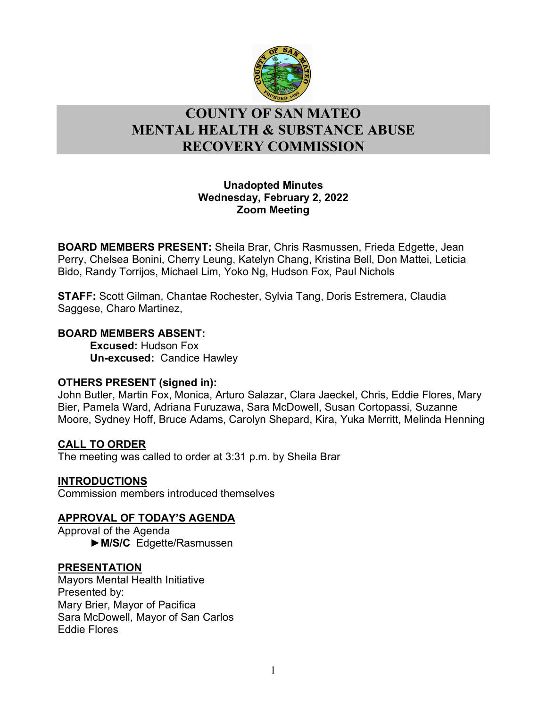

# l **COUNTY OF SAN MATEO MENTAL HEALTH & SUBSTANCE ABUSE RECOVERY COMMISSION**

## **Unadopted Minutes Wednesday, February 2, 2022 Zoom Meeting**

**BOARD MEMBERS PRESENT:** Sheila Brar, Chris Rasmussen, Frieda Edgette, Jean Perry, Chelsea Bonini, Cherry Leung, Katelyn Chang, Kristina Bell, Don Mattei, Leticia Bido, Randy Torrijos, Michael Lim, Yoko Ng, Hudson Fox, Paul Nichols

**STAFF:** Scott Gilman, Chantae Rochester, Sylvia Tang, Doris Estremera, Claudia Saggese, Charo Martinez,

### **BOARD MEMBERS ABSENT:**

**Excused:** Hudson Fox **Un-excused:** Candice Hawley

## **OTHERS PRESENT (signed in):**

John Butler, Martin Fox, Monica, Arturo Salazar, Clara Jaeckel, Chris, Eddie Flores, Mary Bier, Pamela Ward, Adriana Furuzawa, Sara McDowell, Susan Cortopassi, Suzanne Moore, Sydney Hoff, Bruce Adams, Carolyn Shepard, Kira, Yuka Merritt, Melinda Henning

## **CALL TO ORDER**

The meeting was called to order at 3:31 p.m. by Sheila Brar

## **INTRODUCTIONS**

Commission members introduced themselves

## **APPROVAL OF TODAY'S AGENDA**

Approval of the Agenda ►**M/S/C** Edgette/Rasmussen

## **PRESENTATION**

Mayors Mental Health Initiative Presented by: Mary Brier, Mayor of Pacifica Sara McDowell, Mayor of San Carlos Eddie Flores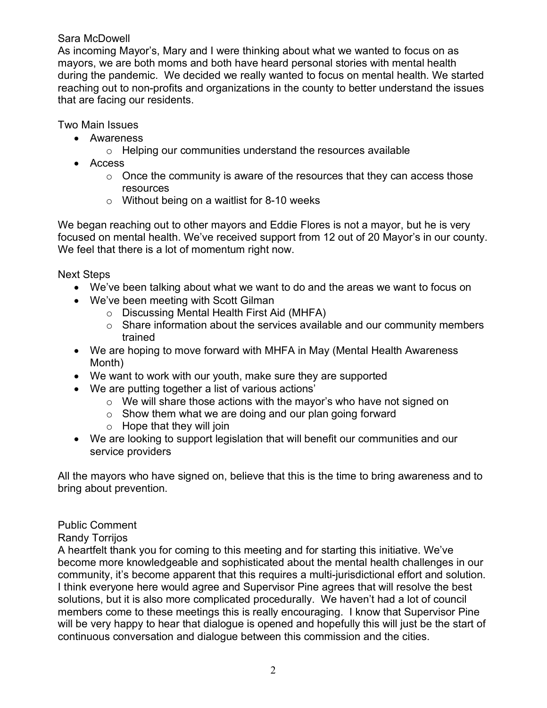## Sara McDowell

As incoming Mayor's, Mary and I were thinking about what we wanted to focus on as mayors, we are both moms and both have heard personal stories with mental health during the pandemic. We decided we really wanted to focus on mental health. We started reaching out to non-profits and organizations in the county to better understand the issues that are facing our residents.

Two Main Issues

- Awareness
	- o Helping our communities understand the resources available
- Access
	- $\circ$  Once the community is aware of the resources that they can access those resources
	- o Without being on a waitlist for 8-10 weeks

We began reaching out to other mayors and Eddie Flores is not a mayor, but he is very focused on mental health. We've received support from 12 out of 20 Mayor's in our county. We feel that there is a lot of momentum right now.

Next Steps

- We've been talking about what we want to do and the areas we want to focus on
- We've been meeting with Scott Gilman
	- o Discussing Mental Health First Aid (MHFA)
	- $\circ$  Share information about the services available and our community members trained
- We are hoping to move forward with MHFA in May (Mental Health Awareness Month)
- We want to work with our youth, make sure they are supported
- We are putting together a list of various actions'
	- o We will share those actions with the mayor's who have not signed on
	- $\circ$  Show them what we are doing and our plan going forward
	- $\circ$  Hope that they will join
- We are looking to support legislation that will benefit our communities and our service providers

All the mayors who have signed on, believe that this is the time to bring awareness and to bring about prevention.

## Public Comment

#### Randy Torrijos

A heartfelt thank you for coming to this meeting and for starting this initiative. We've become more knowledgeable and sophisticated about the mental health challenges in our community, it's become apparent that this requires a multi-jurisdictional effort and solution. I think everyone here would agree and Supervisor Pine agrees that will resolve the best solutions, but it is also more complicated procedurally. We haven't had a lot of council members come to these meetings this is really encouraging. I know that Supervisor Pine will be very happy to hear that dialogue is opened and hopefully this will just be the start of continuous conversation and dialogue between this commission and the cities.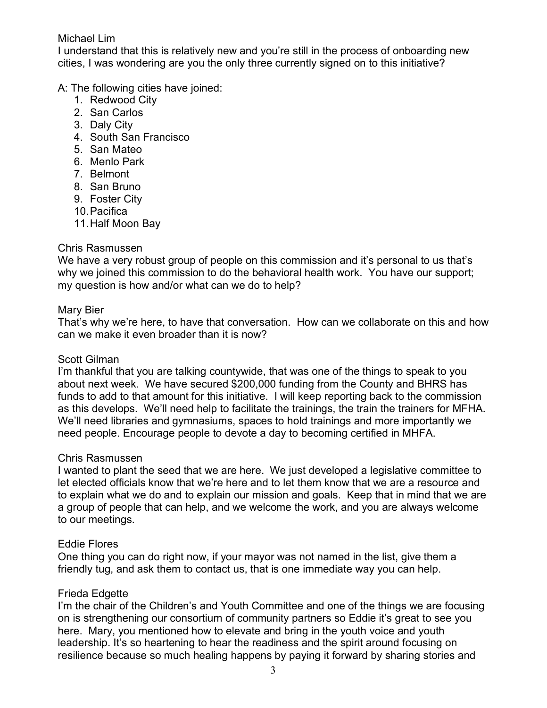## Michael Lim

I understand that this is relatively new and you're still in the process of onboarding new cities, I was wondering are you the only three currently signed on to this initiative?

A: The following cities have joined:

- 1. Redwood City
- 2. San Carlos
- 3. Daly City
- 4. South San Francisco
- 5. San Mateo
- 6. Menlo Park
- 7. Belmont
- 8. San Bruno
- 9. Foster City
- 10.Pacifica
- 11.Half Moon Bay

## Chris Rasmussen

We have a very robust group of people on this commission and it's personal to us that's why we joined this commission to do the behavioral health work. You have our support; my question is how and/or what can we do to help?

## Mary Bier

That's why we're here, to have that conversation. How can we collaborate on this and how can we make it even broader than it is now?

## Scott Gilman

I'm thankful that you are talking countywide, that was one of the things to speak to you about next week. We have secured \$200,000 funding from the County and BHRS has funds to add to that amount for this initiative. I will keep reporting back to the commission as this develops. We'll need help to facilitate the trainings, the train the trainers for MFHA. We'll need libraries and gymnasiums, spaces to hold trainings and more importantly we need people. Encourage people to devote a day to becoming certified in MHFA.

#### Chris Rasmussen

I wanted to plant the seed that we are here. We just developed a legislative committee to let elected officials know that we're here and to let them know that we are a resource and to explain what we do and to explain our mission and goals. Keep that in mind that we are a group of people that can help, and we welcome the work, and you are always welcome to our meetings.

## Eddie Flores

One thing you can do right now, if your mayor was not named in the list, give them a friendly tug, and ask them to contact us, that is one immediate way you can help.

## Frieda Edgette

I'm the chair of the Children's and Youth Committee and one of the things we are focusing on is strengthening our consortium of community partners so Eddie it's great to see you here. Mary, you mentioned how to elevate and bring in the youth voice and youth leadership. It's so heartening to hear the readiness and the spirit around focusing on resilience because so much healing happens by paying it forward by sharing stories and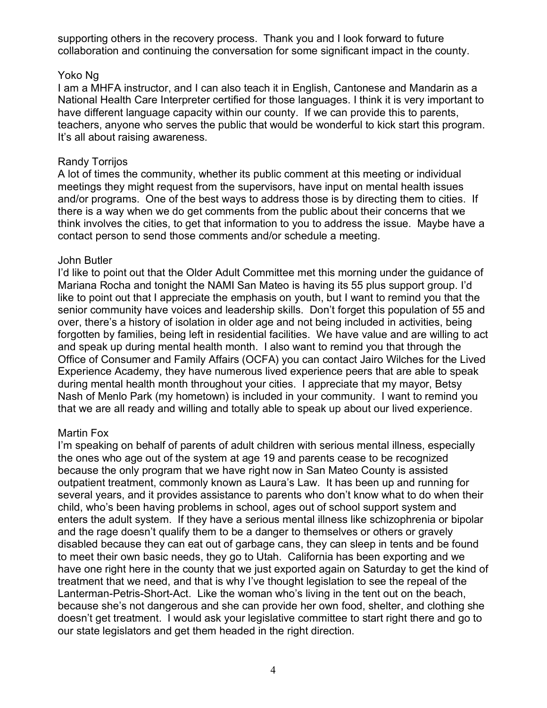supporting others in the recovery process. Thank you and I look forward to future collaboration and continuing the conversation for some significant impact in the county.

#### Yoko Ng

I am a MHFA instructor, and I can also teach it in English, Cantonese and Mandarin as a National Health Care Interpreter certified for those languages. I think it is very important to have different language capacity within our county. If we can provide this to parents, teachers, anyone who serves the public that would be wonderful to kick start this program. It's all about raising awareness.

## Randy Torrijos

A lot of times the community, whether its public comment at this meeting or individual meetings they might request from the supervisors, have input on mental health issues and/or programs. One of the best ways to address those is by directing them to cities. If there is a way when we do get comments from the public about their concerns that we think involves the cities, to get that information to you to address the issue. Maybe have a contact person to send those comments and/or schedule a meeting.

#### John Butler

I'd like to point out that the Older Adult Committee met this morning under the guidance of Mariana Rocha and tonight the NAMI San Mateo is having its 55 plus support group. I'd like to point out that I appreciate the emphasis on youth, but I want to remind you that the senior community have voices and leadership skills. Don't forget this population of 55 and over, there's a history of isolation in older age and not being included in activities, being forgotten by families, being left in residential facilities. We have value and are willing to act and speak up during mental health month. I also want to remind you that through the Office of Consumer and Family Affairs (OCFA) you can contact Jairo Wilches for the Lived Experience Academy, they have numerous lived experience peers that are able to speak during mental health month throughout your cities. I appreciate that my mayor, Betsy Nash of Menlo Park (my hometown) is included in your community. I want to remind you that we are all ready and willing and totally able to speak up about our lived experience.

#### Martin Fox

I'm speaking on behalf of parents of adult children with serious mental illness, especially the ones who age out of the system at age 19 and parents cease to be recognized because the only program that we have right now in San Mateo County is assisted outpatient treatment, commonly known as Laura's Law. It has been up and running for several years, and it provides assistance to parents who don't know what to do when their child, who's been having problems in school, ages out of school support system and enters the adult system. If they have a serious mental illness like schizophrenia or bipolar and the rage doesn't qualify them to be a danger to themselves or others or gravely disabled because they can eat out of garbage cans, they can sleep in tents and be found to meet their own basic needs, they go to Utah. California has been exporting and we have one right here in the county that we just exported again on Saturday to get the kind of treatment that we need, and that is why I've thought legislation to see the repeal of the Lanterman-Petris-Short-Act. Like the woman who's living in the tent out on the beach, because she's not dangerous and she can provide her own food, shelter, and clothing she doesn't get treatment. I would ask your legislative committee to start right there and go to our state legislators and get them headed in the right direction.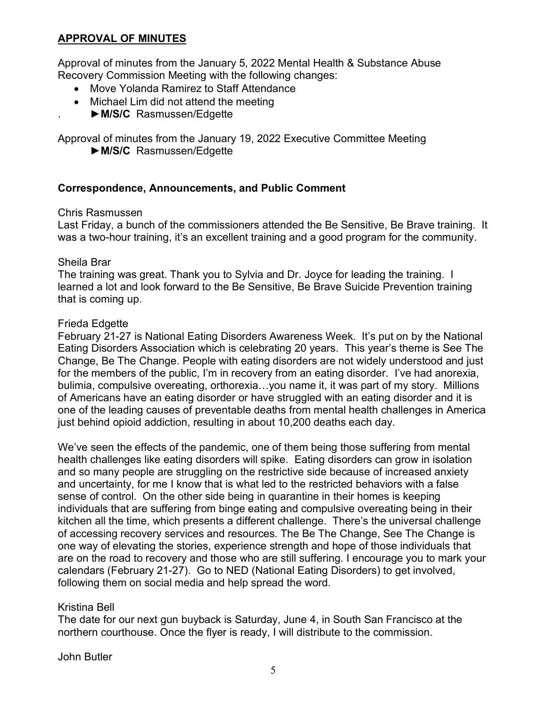## **APPROVAL OF MINUTES**

Approval of minutes from the January 5, 2022 Mental Health & Substance Abuse Recovery Commission Meeting with the following changes:

- Move Yolanda Ramirez to Staff Attendance
- Michael Lim did not attend the meeting
	- . ►**M/S/C** Rasmussen/Edgette

Approval of minutes from the January 19, 2022 Executive Committee Meeting ►**M/S/C** Rasmussen/Edgette

## **Correspondence, Announcements, and Public Comment**

### Chris Rasmussen

Last Friday, a bunch of the commissioners attended the Be Sensitive, Be Brave training. It was a two-hour training, it's an excellent training and a good program for the community.

### Sheila Brar

The training was great. Thank you to Sylvia and Dr. Joyce for leading the training. I learned a lot and look forward to the Be Sensitive, Be Brave Suicide Prevention training that is coming up.

### Frieda Edgette

February 21-27 is National Eating Disorders Awareness Week. It's put on by the National Eating Disorders Association which is celebrating 20 years. This year's theme is See The Change, Be The Change. People with eating disorders are not widely understood and just for the members of the public, I'm in recovery from an eating disorder. I've had anorexia, bulimia, compulsive overeating, orthorexia…you name it, it was part of my story. Millions of Americans have an eating disorder or have struggled with an eating disorder and it is one of the leading causes of preventable deaths from mental health challenges in America just behind opioid addiction, resulting in about 10,200 deaths each day.

We've seen the effects of the pandemic, one of them being those suffering from mental health challenges like eating disorders will spike. Eating disorders can grow in isolation and so many people are struggling on the restrictive side because of increased anxiety and uncertainty, for me I know that is what led to the restricted behaviors with a false sense of control. On the other side being in quarantine in their homes is keeping individuals that are suffering from binge eating and compulsive overeating being in their kitchen all the time, which presents a different challenge. There's the universal challenge of accessing recovery services and resources. The Be The Change, See The Change is one way of elevating the stories, experience strength and hope of those individuals that are on the road to recovery and those who are still suffering. I encourage you to mark your calendars (February 21-27). Go to NED (National Eating Disorders) to get involved, following them on social media and help spread the word.

## Kristina Bell

The date for our next gun buyback is Saturday, June 4, in South San Francisco at the northern courthouse. Once the flyer is ready, I will distribute to the commission.

John Butler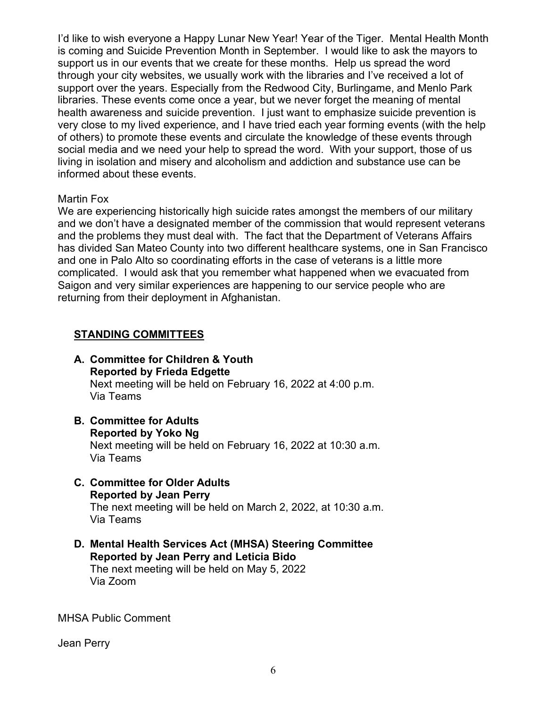I'd like to wish everyone a Happy Lunar New Year! Year of the Tiger. Mental Health Month is coming and Suicide Prevention Month in September. I would like to ask the mayors to support us in our events that we create for these months. Help us spread the word through your city websites, we usually work with the libraries and I've received a lot of support over the years. Especially from the Redwood City, Burlingame, and Menlo Park libraries. These events come once a year, but we never forget the meaning of mental health awareness and suicide prevention. I just want to emphasize suicide prevention is very close to my lived experience, and I have tried each year forming events (with the help of others) to promote these events and circulate the knowledge of these events through social media and we need your help to spread the word. With your support, those of us living in isolation and misery and alcoholism and addiction and substance use can be informed about these events.

#### Martin Fox

We are experiencing historically high suicide rates amongst the members of our military and we don't have a designated member of the commission that would represent veterans and the problems they must deal with. The fact that the Department of Veterans Affairs has divided San Mateo County into two different healthcare systems, one in San Francisco and one in Palo Alto so coordinating efforts in the case of veterans is a little more complicated. I would ask that you remember what happened when we evacuated from Saigon and very similar experiences are happening to our service people who are returning from their deployment in Afghanistan.

#### **STANDING COMMITTEES**

- **A. Committee for Children & Youth Reported by Frieda Edgette** Next meeting will be held on February 16, 2022 at 4:00 p.m. Via Teams
- **B. Committee for Adults Reported by Yoko Ng** Next meeting will be held on February 16, 2022 at 10:30 a.m. Via Teams
- **C. Committee for Older Adults Reported by Jean Perry** The next meeting will be held on March 2, 2022, at 10:30 a.m. Via Teams
- **D. Mental Health Services Act (MHSA) Steering Committee Reported by Jean Perry and Leticia Bido** The next meeting will be held on May 5, 2022 Via Zoom

MHSA Public Comment

Jean Perry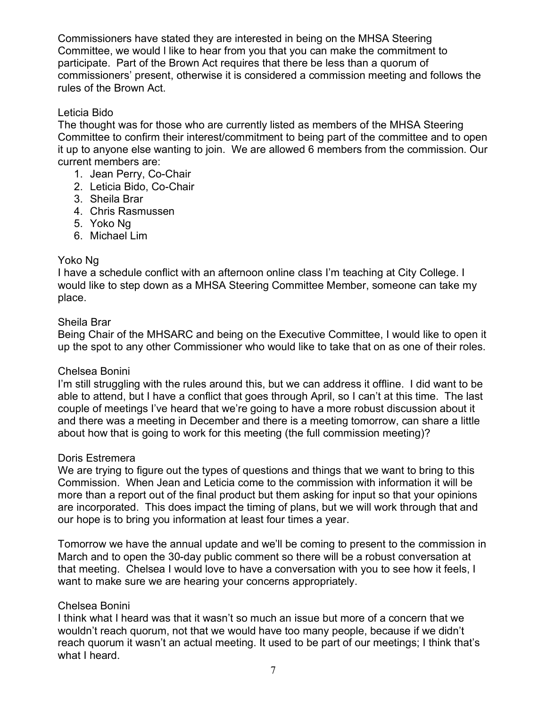Commissioners have stated they are interested in being on the MHSA Steering Committee, we would l like to hear from you that you can make the commitment to participate. Part of the Brown Act requires that there be less than a quorum of commissioners' present, otherwise it is considered a commission meeting and follows the rules of the Brown Act.

### Leticia Bido

The thought was for those who are currently listed as members of the MHSA Steering Committee to confirm their interest/commitment to being part of the committee and to open it up to anyone else wanting to join. We are allowed 6 members from the commission. Our current members are:

- 1. Jean Perry, Co-Chair
- 2. Leticia Bido, Co-Chair
- 3. Sheila Brar
- 4. Chris Rasmussen
- 5. Yoko Ng
- 6. Michael Lim

### Yoko Ng

I have a schedule conflict with an afternoon online class I'm teaching at City College. I would like to step down as a MHSA Steering Committee Member, someone can take my place.

### Sheila Brar

Being Chair of the MHSARC and being on the Executive Committee, I would like to open it up the spot to any other Commissioner who would like to take that on as one of their roles.

#### Chelsea Bonini

I'm still struggling with the rules around this, but we can address it offline. I did want to be able to attend, but I have a conflict that goes through April, so I can't at this time. The last couple of meetings I've heard that we're going to have a more robust discussion about it and there was a meeting in December and there is a meeting tomorrow, can share a little about how that is going to work for this meeting (the full commission meeting)?

#### Doris Estremera

We are trying to figure out the types of questions and things that we want to bring to this Commission. When Jean and Leticia come to the commission with information it will be more than a report out of the final product but them asking for input so that your opinions are incorporated. This does impact the timing of plans, but we will work through that and our hope is to bring you information at least four times a year.

Tomorrow we have the annual update and we'll be coming to present to the commission in March and to open the 30-day public comment so there will be a robust conversation at that meeting. Chelsea I would love to have a conversation with you to see how it feels, I want to make sure we are hearing your concerns appropriately.

## Chelsea Bonini

I think what I heard was that it wasn't so much an issue but more of a concern that we wouldn't reach quorum, not that we would have too many people, because if we didn't reach quorum it wasn't an actual meeting. It used to be part of our meetings; I think that's what I heard.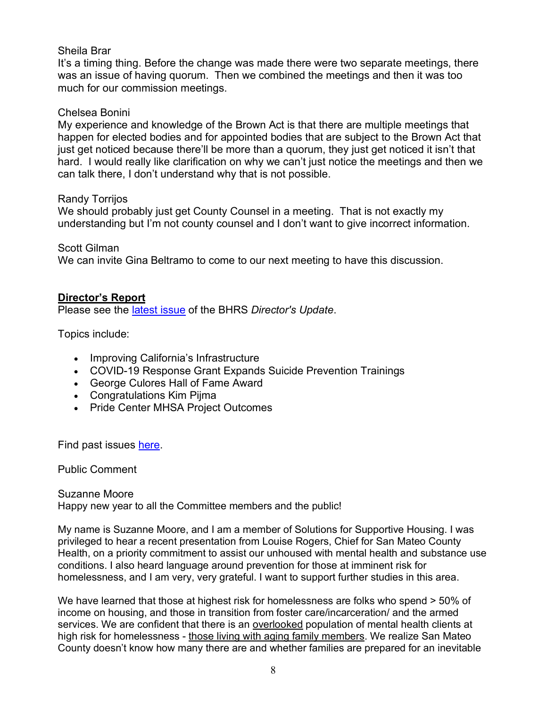#### Sheila Brar

It's a timing thing. Before the change was made there were two separate meetings, there was an issue of having quorum. Then we combined the meetings and then it was too much for our commission meetings.

#### Chelsea Bonini

My experience and knowledge of the Brown Act is that there are multiple meetings that happen for elected bodies and for appointed bodies that are subject to the Brown Act that just get noticed because there'll be more than a quorum, they just get noticed it isn't that hard. I would really like clarification on why we can't just notice the meetings and then we can talk there, I don't understand why that is not possible.

#### Randy Torrijos

We should probably just get County Counsel in a meeting. That is not exactly my understanding but I'm not county counsel and I don't want to give incorrect information.

### Scott Gilman

We can invite Gina Beltramo to come to our next meeting to have this discussion.

## **Director's Report**

Please see the [latest issue](https://www.smchealth.org/sites/main/files/file-attachments/directors_update_feb_2022.pdf?1643233640) of the BHRS *Director's Update*.

Topics include:

- Improving California's Infrastructure
- COVID-19 Response Grant Expands Suicide Prevention Trainings
- George Culores Hall of Fame Award
- Congratulations Kim Pijma
- Pride Center MHSA Project Outcomes

Find past issues [here.](https://www.smchealth.org/bhrs/directors-update)

Public Comment

Suzanne Moore Happy new year to all the Committee members and the public!

My name is Suzanne Moore, and I am a member of Solutions for Supportive Housing. I was privileged to hear a recent presentation from Louise Rogers, Chief for San Mateo County Health, on a priority commitment to assist our unhoused with mental health and substance use conditions. I also heard language around prevention for those at imminent risk for homelessness, and I am very, very grateful. I want to support further studies in this area.

We have learned that those at highest risk for homelessness are folks who spend  $>$  50% of income on housing, and those in transition from foster care/incarceration/ and the armed services. We are confident that there is an overlooked population of mental health clients at high risk for homelessness - those living with aging family members. We realize San Mateo County doesn't know how many there are and whether families are prepared for an inevitable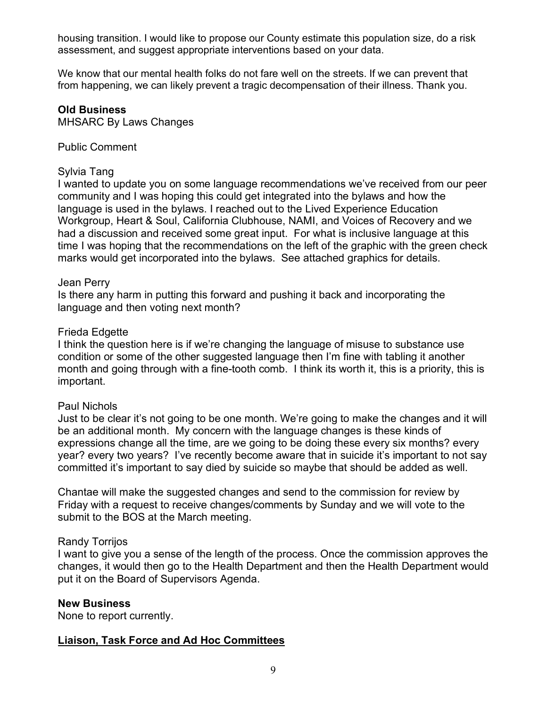housing transition. I would like to propose our County estimate this population size, do a risk assessment, and suggest appropriate interventions based on your data.

We know that our mental health folks do not fare well on the streets. If we can prevent that from happening, we can likely prevent a tragic decompensation of their illness. Thank you.

#### **Old Business**

MHSARC By Laws Changes

#### Public Comment

#### Sylvia Tang

I wanted to update you on some language recommendations we've received from our peer community and I was hoping this could get integrated into the bylaws and how the language is used in the bylaws. I reached out to the Lived Experience Education Workgroup, Heart & Soul, California Clubhouse, NAMI, and Voices of Recovery and we had a discussion and received some great input. For what is inclusive language at this time I was hoping that the recommendations on the left of the graphic with the green check marks would get incorporated into the bylaws. See attached graphics for details.

#### Jean Perry

Is there any harm in putting this forward and pushing it back and incorporating the language and then voting next month?

#### Frieda Edgette

I think the question here is if we're changing the language of misuse to substance use condition or some of the other suggested language then I'm fine with tabling it another month and going through with a fine-tooth comb. I think its worth it, this is a priority, this is important.

#### Paul Nichols

Just to be clear it's not going to be one month. We're going to make the changes and it will be an additional month. My concern with the language changes is these kinds of expressions change all the time, are we going to be doing these every six months? every year? every two years? I've recently become aware that in suicide it's important to not say committed it's important to say died by suicide so maybe that should be added as well.

Chantae will make the suggested changes and send to the commission for review by Friday with a request to receive changes/comments by Sunday and we will vote to the submit to the BOS at the March meeting.

#### Randy Torrijos

I want to give you a sense of the length of the process. Once the commission approves the changes, it would then go to the Health Department and then the Health Department would put it on the Board of Supervisors Agenda.

#### **New Business**

None to report currently.

#### **Liaison, Task Force and Ad Hoc Committees**